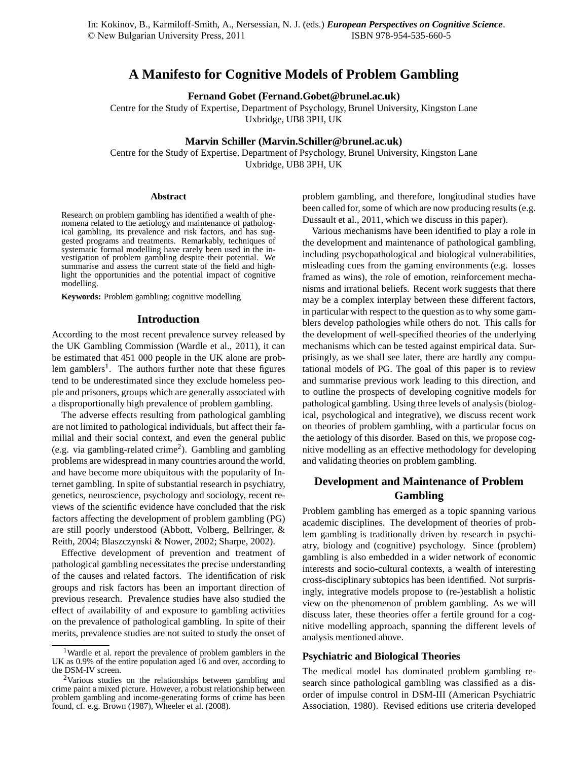# **A Manifesto for Cognitive Models of Problem Gambling**

**Fernand Gobet (Fernand.Gobet@brunel.ac.uk)**

Centre for the Study of Expertise, Department of Psychology, Brunel University, Kingston Lane Uxbridge, UB8 3PH, UK

## **Marvin Schiller (Marvin.Schiller@brunel.ac.uk)**

Centre for the Study of Expertise, Department of Psychology, Brunel University, Kingston Lane Uxbridge, UB8 3PH, UK

#### **Abstract**

Research on problem gambling has identified a wealth of phenomena related to the aetiology and maintenance of pathological gambling, its prevalence and risk factors, and has suggested programs and treatments. Remarkably, techniques of systematic formal modelling have rarely been used in the investigation of problem gambling despite their potential. We summarise and assess the current state of the field and highlight the opportunities and the potential impact of cognitive modelling.

**Keywords:** Problem gambling; cognitive modelling

#### **Introduction**

According to the most recent prevalence survey released by the UK Gambling Commission (Wardle et al., 2011), it can be estimated that 451 000 people in the UK alone are problem gamblers<sup>1</sup>. The authors further note that these figures tend to be underestimated since they exclude homeless people and prisoners, groups which are generally associated with a disproportionally high prevalence of problem gambling.

The adverse effects resulting from pathological gambling are not limited to pathological individuals, but affect their familial and their social context, and even the general public (e.g. via gambling-related crime<sup>2</sup>). Gambling and gambling problems are widespread in many countries around the world, and have become more ubiquitous with the popularity of Internet gambling. In spite of substantial research in psychiatry, genetics, neuroscience, psychology and sociology, recent reviews of the scientific evidence have concluded that the risk factors affecting the development of problem gambling (PG) are still poorly understood (Abbott, Volberg, Bellringer, & Reith, 2004; Blaszczynski & Nower, 2002; Sharpe, 2002).

Effective development of prevention and treatment of pathological gambling necessitates the precise understanding of the causes and related factors. The identification of risk groups and risk factors has been an important direction of previous research. Prevalence studies have also studied the effect of availability of and exposure to gambling activities on the prevalence of pathological gambling. In spite of their merits, prevalence studies are not suited to study the onset of problem gambling, and therefore, longitudinal studies have been called for, some of which are now producing results (e.g. Dussault et al., 2011, which we discuss in this paper).

Various mechanisms have been identified to play a role in the development and maintenance of pathological gambling, including psychopathological and biological vulnerabilities, misleading cues from the gaming environments (e.g. losses framed as wins), the role of emotion, reinforcement mechanisms and irrational beliefs. Recent work suggests that there may be a complex interplay between these different factors, in particular with respect to the question as to why some gamblers develop pathologies while others do not. This calls for the development of well-specified theories of the underlying mechanisms which can be tested against empirical data. Surprisingly, as we shall see later, there are hardly any computational models of PG. The goal of this paper is to review and summarise previous work leading to this direction, and to outline the prospects of developing cognitive models for pathological gambling. Using three levels of analysis (biological, psychological and integrative), we discuss recent work on theories of problem gambling, with a particular focus on the aetiology of this disorder. Based on this, we propose cognitive modelling as an effective methodology for developing and validating theories on problem gambling.

## **Development and Maintenance of Problem Gambling**

Problem gambling has emerged as a topic spanning various academic disciplines. The development of theories of problem gambling is traditionally driven by research in psychiatry, biology and (cognitive) psychology. Since (problem) gambling is also embedded in a wider network of economic interests and socio-cultural contexts, a wealth of interesting cross-disciplinary subtopics has been identified. Not surprisingly, integrative models propose to (re-)establish a holistic view on the phenomenon of problem gambling. As we will discuss later, these theories offer a fertile ground for a cognitive modelling approach, spanning the different levels of analysis mentioned above.

### **Psychiatric and Biological Theories**

The medical model has dominated problem gambling research since pathological gambling was classified as a disorder of impulse control in DSM-III (American Psychiatric Association, 1980). Revised editions use criteria developed

<sup>1</sup>Wardle et al. report the prevalence of problem gamblers in the UK as 0.9% of the entire population aged 16 and over, according to the DSM-IV screen.

<sup>2</sup>Various studies on the relationships between gambling and crime paint a mixed picture. However, a robust relationship between problem gambling and income-generating forms of crime has been found, cf. e.g. Brown (1987), Wheeler et al. (2008).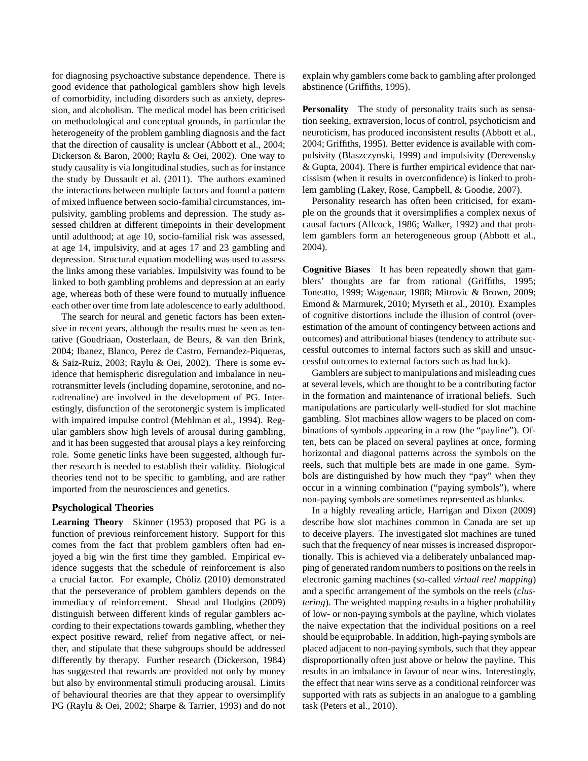for diagnosing psychoactive substance dependence. There is good evidence that pathological gamblers show high levels of comorbidity, including disorders such as anxiety, depression, and alcoholism. The medical model has been criticised on methodological and conceptual grounds, in particular the heterogeneity of the problem gambling diagnosis and the fact that the direction of causality is unclear (Abbott et al., 2004; Dickerson & Baron, 2000; Raylu & Oei, 2002). One way to study causality is via longitudinal studies, such as for instance the study by Dussault et al. (2011). The authors examined the interactions between multiple factors and found a pattern of mixed influence between socio-familial circumstances, impulsivity, gambling problems and depression. The study assessed children at different timepoints in their development until adulthood; at age 10, socio-familial risk was assessed, at age 14, impulsivity, and at ages 17 and 23 gambling and depression. Structural equation modelling was used to assess the links among these variables. Impulsivity was found to be linked to both gambling problems and depression at an early age, whereas both of these were found to mutually influence each other over time from late adolescence to early adulthood.

The search for neural and genetic factors has been extensive in recent years, although the results must be seen as tentative (Goudriaan, Oosterlaan, de Beurs, & van den Brink, 2004; Ibanez, Blanco, Perez de Castro, Fernandez-Piqueras, & Saiz-Ruiz, 2003; Raylu & Oei, 2002). There is some evidence that hemispheric disregulation and imbalance in neurotransmitter levels (including dopamine, serotonine, and noradrenaline) are involved in the development of PG. Interestingly, disfunction of the serotonergic system is implicated with impaired impulse control (Mehlman et al., 1994). Regular gamblers show high levels of arousal during gambling, and it has been suggested that arousal plays a key reinforcing role. Some genetic links have been suggested, although further research is needed to establish their validity. Biological theories tend not to be specific to gambling, and are rather imported from the neurosciences and genetics.

## **Psychological Theories**

**Learning Theory** Skinner (1953) proposed that PG is a function of previous reinforcement history. Support for this comes from the fact that problem gamblers often had enjoyed a big win the first time they gambled. Empirical evidence suggests that the schedule of reinforcement is also a crucial factor. For example, Chóliz (2010) demonstrated that the perseverance of problem gamblers depends on the immediacy of reinforcement. Shead and Hodgins (2009) distinguish between different kinds of regular gamblers according to their expectations towards gambling, whether they expect positive reward, relief from negative affect, or neither, and stipulate that these subgroups should be addressed differently by therapy. Further research (Dickerson, 1984) has suggested that rewards are provided not only by money but also by environmental stimuli producing arousal. Limits of behavioural theories are that they appear to oversimplify PG (Raylu & Oei, 2002; Sharpe & Tarrier, 1993) and do not explain why gamblers come back to gambling after prolonged abstinence (Griffiths, 1995).

**Personality** The study of personality traits such as sensation seeking, extraversion, locus of control, psychoticism and neuroticism, has produced inconsistent results (Abbott et al., 2004; Griffiths, 1995). Better evidence is available with compulsivity (Blaszczynski, 1999) and impulsivity (Derevensky & Gupta, 2004). There is further empirical evidence that narcissism (when it results in overconfidence) is linked to problem gambling (Lakey, Rose, Campbell, & Goodie, 2007).

Personality research has often been criticised, for example on the grounds that it oversimplifies a complex nexus of causal factors (Allcock, 1986; Walker, 1992) and that problem gamblers form an heterogeneous group (Abbott et al., 2004).

**Cognitive Biases** It has been repeatedly shown that gamblers' thoughts are far from rational (Griffiths, 1995; Toneatto, 1999; Wagenaar, 1988; Mitrovic & Brown, 2009; Emond & Marmurek, 2010; Myrseth et al., 2010). Examples of cognitive distortions include the illusion of control (overestimation of the amount of contingency between actions and outcomes) and attributional biases (tendency to attribute successful outcomes to internal factors such as skill and unsuccessful outcomes to external factors such as bad luck).

Gamblers are subject to manipulations and misleading cues at several levels, which are thought to be a contributing factor in the formation and maintenance of irrational beliefs. Such manipulations are particularly well-studied for slot machine gambling. Slot machines allow wagers to be placed on combinations of symbols appearing in a row (the "payline"). Often, bets can be placed on several paylines at once, forming horizontal and diagonal patterns across the symbols on the reels, such that multiple bets are made in one game. Symbols are distinguished by how much they "pay" when they occur in a winning combination ("paying symbols"), where non-paying symbols are sometimes represented as blanks.

In a highly revealing article, Harrigan and Dixon (2009) describe how slot machines common in Canada are set up to deceive players. The investigated slot machines are tuned such that the frequency of near misses is increased disproportionally. This is achieved via a deliberately unbalanced mapping of generated random numbers to positions on the reels in electronic gaming machines (so-called *virtual reel mapping*) and a specific arrangement of the symbols on the reels (*clustering*). The weighted mapping results in a higher probability of low- or non-paying symbols at the payline, which violates the naive expectation that the individual positions on a reel should be equiprobable. In addition, high-paying symbols are placed adjacent to non-paying symbols, such that they appear disproportionally often just above or below the payline. This results in an imbalance in favour of near wins. Interestingly, the effect that near wins serve as a conditional reinforcer was supported with rats as subjects in an analogue to a gambling task (Peters et al., 2010).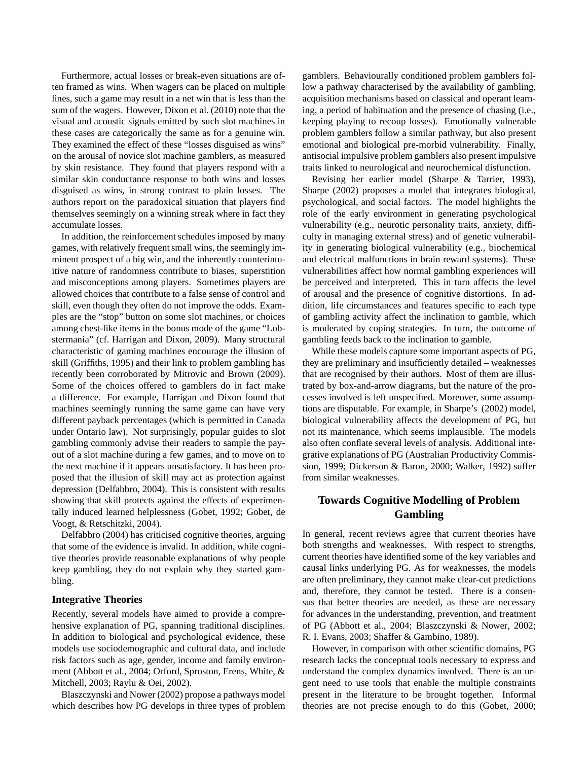Furthermore, actual losses or break-even situations are often framed as wins. When wagers can be placed on multiple lines, such a game may result in a net win that is less than the sum of the wagers. However, Dixon et al. (2010) note that the visual and acoustic signals emitted by such slot machines in these cases are categorically the same as for a genuine win. They examined the effect of these "losses disguised as wins" on the arousal of novice slot machine gamblers, as measured by skin resistance. They found that players respond with a similar skin conductance response to both wins and losses disguised as wins, in strong contrast to plain losses. The authors report on the paradoxical situation that players find themselves seemingly on a winning streak where in fact they accumulate losses.

In addition, the reinforcement schedules imposed by many games, with relatively frequent small wins, the seemingly imminent prospect of a big win, and the inherently counterintuitive nature of randomness contribute to biases, superstition and misconceptions among players. Sometimes players are allowed choices that contribute to a false sense of control and skill, even though they often do not improve the odds. Examples are the "stop" button on some slot machines, or choices among chest-like items in the bonus mode of the game "Lobstermania" (cf. Harrigan and Dixon, 2009). Many structural characteristic of gaming machines encourage the illusion of skill (Griffiths, 1995) and their link to problem gambling has recently been corroborated by Mitrovic and Brown (2009). Some of the choices offered to gamblers do in fact make a difference. For example, Harrigan and Dixon found that machines seemingly running the same game can have very different payback percentages (which is permitted in Canada under Ontario law). Not surprisingly, popular guides to slot gambling commonly advise their readers to sample the payout of a slot machine during a few games, and to move on to the next machine if it appears unsatisfactory. It has been proposed that the illusion of skill may act as protection against depression (Delfabbro, 2004). This is consistent with results showing that skill protects against the effects of experimentally induced learned helplessness (Gobet, 1992; Gobet, de Voogt, & Retschitzki, 2004).

Delfabbro (2004) has criticised cognitive theories, arguing that some of the evidence is invalid. In addition, while cognitive theories provide reasonable explanations of why people keep gambling, they do not explain why they started gambling.

### **Integrative Theories**

Recently, several models have aimed to provide a comprehensive explanation of PG, spanning traditional disciplines. In addition to biological and psychological evidence, these models use sociodemographic and cultural data, and include risk factors such as age, gender, income and family environment (Abbott et al., 2004; Orford, Sproston, Erens, White, & Mitchell, 2003; Raylu & Oei, 2002).

Blaszczynski and Nower (2002) propose a pathways model which describes how PG develops in three types of problem gamblers. Behaviourally conditioned problem gamblers follow a pathway characterised by the availability of gambling, acquisition mechanisms based on classical and operant learning, a period of habituation and the presence of chasing (i.e., keeping playing to recoup losses). Emotionally vulnerable problem gamblers follow a similar pathway, but also present emotional and biological pre-morbid vulnerability. Finally, antisocial impulsive problem gamblers also present impulsive traits linked to neurological and neurochemical disfunction.

Revising her earlier model (Sharpe & Tarrier, 1993), Sharpe (2002) proposes a model that integrates biological, psychological, and social factors. The model highlights the role of the early environment in generating psychological vulnerability (e.g., neurotic personality traits, anxiety, difficulty in managing external stress) and of genetic vulnerability in generating biological vulnerability (e.g., biochemical and electrical malfunctions in brain reward systems). These vulnerabilities affect how normal gambling experiences will be perceived and interpreted. This in turn affects the level of arousal and the presence of cognitive distortions. In addition, life circumstances and features specific to each type of gambling activity affect the inclination to gamble, which is moderated by coping strategies. In turn, the outcome of gambling feeds back to the inclination to gamble.

While these models capture some important aspects of PG, they are preliminary and insufficiently detailed – weaknesses that are recognised by their authors. Most of them are illustrated by box-and-arrow diagrams, but the nature of the processes involved is left unspecified. Moreover, some assumptions are disputable. For example, in Sharpe's (2002) model, biological vulnerability affects the development of PG, but not its maintenance, which seems implausible. The models also often conflate several levels of analysis. Additional integrative explanations of PG (Australian Productivity Commission, 1999; Dickerson & Baron, 2000; Walker, 1992) suffer from similar weaknesses.

# **Towards Cognitive Modelling of Problem Gambling**

In general, recent reviews agree that current theories have both strengths and weaknesses. With respect to strengths, current theories have identified some of the key variables and causal links underlying PG. As for weaknesses, the models are often preliminary, they cannot make clear-cut predictions and, therefore, they cannot be tested. There is a consensus that better theories are needed, as these are necessary for advances in the understanding, prevention, and treatment of PG (Abbott et al., 2004; Blaszczynski & Nower, 2002; R. I. Evans, 2003; Shaffer & Gambino, 1989).

However, in comparison with other scientific domains, PG research lacks the conceptual tools necessary to express and understand the complex dynamics involved. There is an urgent need to use tools that enable the multiple constraints present in the literature to be brought together. Informal theories are not precise enough to do this (Gobet, 2000;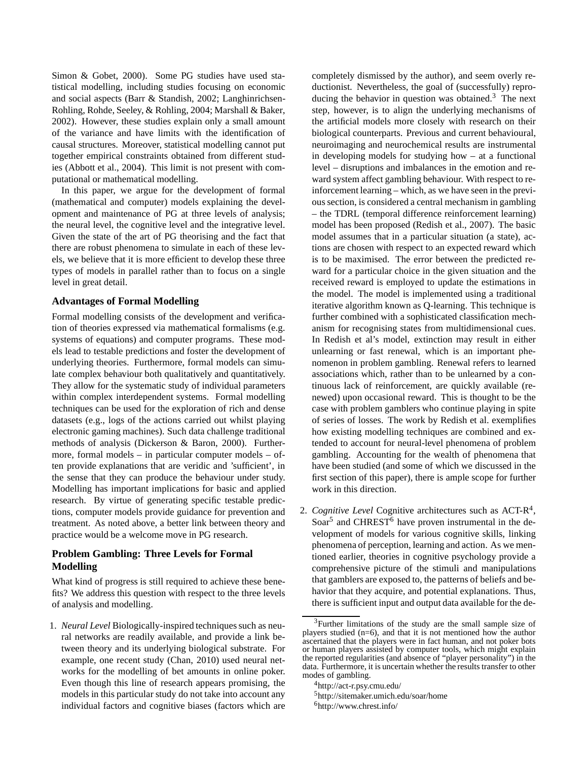Simon & Gobet, 2000). Some PG studies have used statistical modelling, including studies focusing on economic and social aspects (Barr & Standish, 2002; Langhinrichsen-Rohling, Rohde, Seeley, & Rohling, 2004; Marshall & Baker, 2002). However, these studies explain only a small amount of the variance and have limits with the identification of causal structures. Moreover, statistical modelling cannot put together empirical constraints obtained from different studies (Abbott et al., 2004). This limit is not present with computational or mathematical modelling.

In this paper, we argue for the development of formal (mathematical and computer) models explaining the development and maintenance of PG at three levels of analysis; the neural level, the cognitive level and the integrative level. Given the state of the art of PG theorising and the fact that there are robust phenomena to simulate in each of these levels, we believe that it is more efficient to develop these three types of models in parallel rather than to focus on a single level in great detail.

## **Advantages of Formal Modelling**

Formal modelling consists of the development and verification of theories expressed via mathematical formalisms (e.g. systems of equations) and computer programs. These models lead to testable predictions and foster the development of underlying theories. Furthermore, formal models can simulate complex behaviour both qualitatively and quantitatively. They allow for the systematic study of individual parameters within complex interdependent systems. Formal modelling techniques can be used for the exploration of rich and dense datasets (e.g., logs of the actions carried out whilst playing electronic gaming machines). Such data challenge traditional methods of analysis (Dickerson & Baron, 2000). Furthermore, formal models – in particular computer models – often provide explanations that are veridic and 'sufficient', in the sense that they can produce the behaviour under study. Modelling has important implications for basic and applied research. By virtue of generating specific testable predictions, computer models provide guidance for prevention and treatment. As noted above, a better link between theory and practice would be a welcome move in PG research.

## **Problem Gambling: Three Levels for Formal Modelling**

What kind of progress is still required to achieve these benefits? We address this question with respect to the three levels of analysis and modelling.

1. *Neural Level* Biologically-inspired techniques such as neural networks are readily available, and provide a link between theory and its underlying biological substrate. For example, one recent study (Chan, 2010) used neural networks for the modelling of bet amounts in online poker. Even though this line of research appears promising, the models in this particular study do not take into account any individual factors and cognitive biases (factors which are completely dismissed by the author), and seem overly reductionist. Nevertheless, the goal of (successfully) reproducing the behavior in question was obtained.<sup>3</sup> The next step, however, is to align the underlying mechanisms of the artificial models more closely with research on their biological counterparts. Previous and current behavioural, neuroimaging and neurochemical results are instrumental in developing models for studying how – at a functional level – disruptions and imbalances in the emotion and reward system affect gambling behaviour. With respect to reinforcement learning – which, as we have seen in the previous section, is considered a central mechanism in gambling – the TDRL (temporal difference reinforcement learning) model has been proposed (Redish et al., 2007). The basic model assumes that in a particular situation (a state), actions are chosen with respect to an expected reward which is to be maximised. The error between the predicted reward for a particular choice in the given situation and the received reward is employed to update the estimations in the model. The model is implemented using a traditional iterative algorithm known as Q-learning. This technique is further combined with a sophisticated classification mechanism for recognising states from multidimensional cues. In Redish et al's model, extinction may result in either unlearning or fast renewal, which is an important phenomenon in problem gambling. Renewal refers to learned associations which, rather than to be unlearned by a continuous lack of reinforcement, are quickly available (renewed) upon occasional reward. This is thought to be the case with problem gamblers who continue playing in spite of series of losses. The work by Redish et al. exemplifies how existing modelling techniques are combined and extended to account for neural-level phenomena of problem gambling. Accounting for the wealth of phenomena that have been studied (and some of which we discussed in the first section of this paper), there is ample scope for further work in this direction.

2. *Cognitive Level* Cognitive architectures such as ACT-R<sup>4</sup>, Soar<sup>5</sup> and CHREST<sup>6</sup> have proven instrumental in the development of models for various cognitive skills, linking phenomena of perception, learning and action. As we mentioned earlier, theories in cognitive psychology provide a comprehensive picture of the stimuli and manipulations that gamblers are exposed to, the patterns of beliefs and behavior that they acquire, and potential explanations. Thus, there is sufficient input and output data available for the de-

<sup>5</sup>http://sitemaker.umich.edu/soar/home

 $3$ Further limitations of the study are the small sample size of players studied (n=6), and that it is not mentioned how the author ascertained that the players were in fact human, and not poker bots or human players assisted by computer tools, which might explain the reported regularities (and absence of "player personality") in the data. Furthermore, it is uncertain whether the results transfer to other modes of gambling.

<sup>4</sup>http://act-r.psy.cmu.edu/

<sup>6</sup>http://www.chrest.info/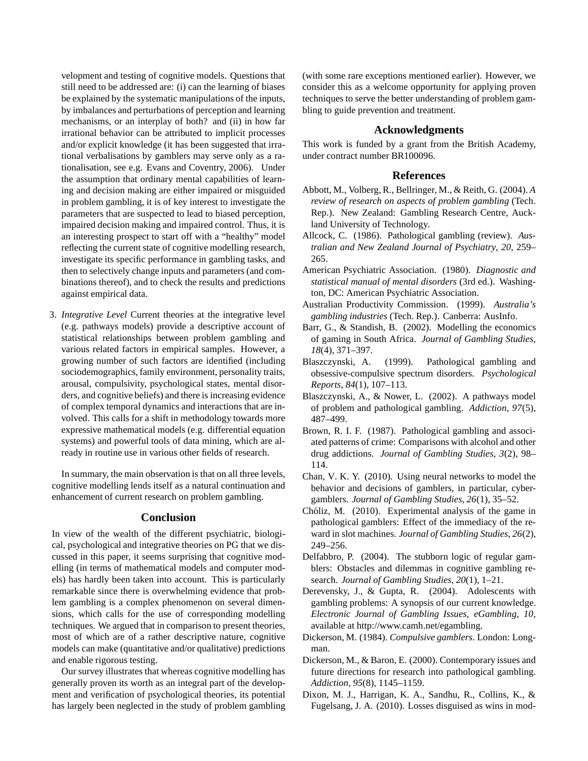velopment and testing of cognitive models. Questions that still need to be addressed are: (i) can the learning of biases be explained by the systematic manipulations of the inputs, by imbalances and perturbations of perception and learning mechanisms, or an interplay of both? and (ii) in how far irrational behavior can be attributed to implicit processes and/or explicit knowledge (it has been suggested that irrational verbalisations by gamblers may serve only as a rationalisation, see e.g. Evans and Coventry, 2006). Under the assumption that ordinary mental capabilities of learning and decision making are either impaired or misguided in problem gambling, it is of key interest to investigate the parameters that are suspected to lead to biased perception, impaired decision making and impaired control. Thus, it is an interesting prospect to start off with a "healthy" model reflecting the current state of cognitive modelling research, investigate its specific performance in gambling tasks, and then to selectively change inputs and parameters (and combinations thereof), and to check the results and predictions against empirical data.

3. *Integrative Level* Current theories at the integrative level (e.g. pathways models) provide a descriptive account of statistical relationships between problem gambling and various related factors in empirical samples. However, a growing number of such factors are identified (including sociodemographics, family environment, personality traits, arousal, compulsivity, psychological states, mental disorders, and cognitive beliefs) and there is increasing evidence of complex temporal dynamics and interactions that are involved. This calls for a shift in methodology towards more expressive mathematical models (e.g. differential equation systems) and powerful tools of data mining, which are already in routine use in various other fields of research.

In summary, the main observation is that on all three levels, cognitive modelling lends itself as a natural continuation and enhancement of current research on problem gambling.

## **Conclusion**

In view of the wealth of the different psychiatric, biological, psychological and integrative theories on PG that we discussed in this paper, it seems surprising that cognitive modelling (in terms of mathematical models and computer models) has hardly been taken into account. This is particularly remarkable since there is overwhelming evidence that problem gambling is a complex phenomenon on several dimensions, which calls for the use of corresponding modelling techniques. We argued that in comparison to present theories, most of which are of a rather descriptive nature, cognitive models can make (quantitative and/or qualitative) predictions and enable rigorous testing.

Our survey illustrates that whereas cognitive modelling has generally proven its worth as an integral part of the development and verification of psychological theories, its potential has largely been neglected in the study of problem gambling (with some rare exceptions mentioned earlier). However, we consider this as a welcome opportunity for applying proven techniques to serve the better understanding of problem gambling to guide prevention and treatment.

### **Acknowledgments**

This work is funded by a grant from the British Academy, under contract number BR100096.

### **References**

- Abbott, M., Volberg, R., Bellringer, M., & Reith, G. (2004). *A review of research on aspects of problem gambling* (Tech. Rep.). New Zealand: Gambling Research Centre, Auckland University of Technology.
- Allcock, C. (1986). Pathological gambling (review). *Australian and New Zealand Journal of Psychiatry*, *20*, 259– 265.
- American Psychiatric Association. (1980). *Diagnostic and statistical manual of mental disorders* (3rd ed.). Washington, DC: American Psychiatric Association.
- Australian Productivity Commission. (1999). *Australia's gambling industries* (Tech. Rep.). Canberra: AusInfo.
- Barr, G., & Standish, B. (2002). Modelling the economics of gaming in South Africa. *Journal of Gambling Studies*, *18*(4), 371–397.
- Blaszczynski, A. (1999). Pathological gambling and obsessive-compulsive spectrum disorders. *Psychological Reports*, *84*(1), 107–113.
- Blaszczynski, A., & Nower, L. (2002). A pathways model of problem and pathological gambling. *Addiction*, *97*(5), 487–499.
- Brown, R. I. F. (1987). Pathological gambling and associated patterns of crime: Comparisons with alcohol and other drug addictions. *Journal of Gambling Studies*, *3*(2), 98– 114.
- Chan, V. K. Y. (2010). Using neural networks to model the behavior and decisions of gamblers, in particular, cybergamblers. *Journal of Gambling Studies*, *26*(1), 35–52.
- Chóliz, M. (2010). Experimental analysis of the game in pathological gamblers: Effect of the immediacy of the reward in slot machines. *Journal of Gambling Studies*, *26*(2), 249–256.
- Delfabbro, P. (2004). The stubborn logic of regular gamblers: Obstacles and dilemmas in cognitive gambling research. *Journal of Gambling Studies*, *20*(1), 1–21.
- Derevensky, J., & Gupta, R. (2004). Adolescents with gambling problems: A synopsis of our current knowledge. *Electronic Journal of Gambling Issues, eGambling*, *10*, available at http://www.camh.net/egambling.
- Dickerson, M. (1984). *Compulsive gamblers*. London: Longman.
- Dickerson, M., & Baron, E. (2000). Contemporary issues and future directions for research into pathological gambling. *Addiction*, *95*(8), 1145–1159.
- Dixon, M. J., Harrigan, K. A., Sandhu, R., Collins, K., & Fugelsang, J. A. (2010). Losses disguised as wins in mod-